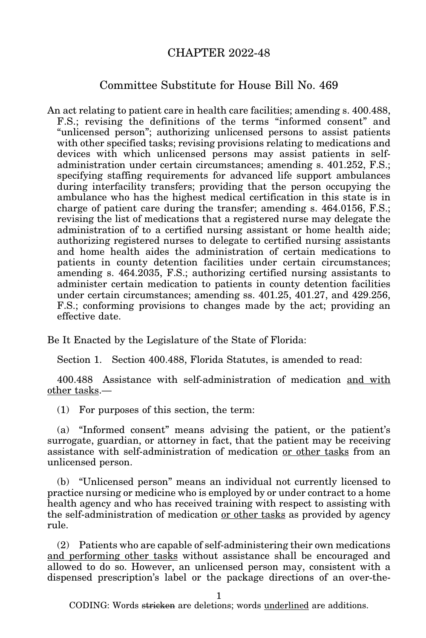## CHAPTER 2022-48

## Committee Substitute for House Bill No. 469

An act relating to patient care in health care facilities; amending s. 400.488, F.S.; revising the definitions of the terms "informed consent" and "unlicensed person"; authorizing unlicensed persons to assist patients with other specified tasks; revising provisions relating to medications and devices with which unlicensed persons may assist patients in selfadministration under certain circumstances; amending s. 401.252, F.S.; specifying staffing requirements for advanced life support ambulances during interfacility transfers; providing that the person occupying the ambulance who has the highest medical certification in this state is in charge of patient care during the transfer; amending s. 464.0156, F.S.; revising the list of medications that a registered nurse may delegate the administration of to a certified nursing assistant or home health aide; authorizing registered nurses to delegate to certified nursing assistants and home health aides the administration of certain medications to patients in county detention facilities under certain circumstances; amending s. 464.2035, F.S.; authorizing certified nursing assistants to administer certain medication to patients in county detention facilities under certain circumstances; amending ss. 401.25, 401.27, and 429.256, F.S.; conforming provisions to changes made by the act; providing an effective date.

Be It Enacted by the Legislature of the State of Florida:

Section 1. Section 400.488, Florida Statutes, is amended to read:

400.488 Assistance with self-administration of medication and with other tasks.—

(1) For purposes of this section, the term:

(a) "Informed consent" means advising the patient, or the patient's surrogate, guardian, or attorney in fact, that the patient may be receiving assistance with self-administration of medication or other tasks from an unlicensed person.

(b) "Unlicensed person" means an individual not currently licensed to practice nursing or medicine who is employed by or under contract to a home health agency and who has received training with respect to assisting with the self-administration of medication or other tasks as provided by agency rule.

(2) Patients who are capable of self-administering their own medications and performing other tasks without assistance shall be encouraged and allowed to do so. However, an unlicensed person may, consistent with a dispensed prescription's label or the package directions of an over-the-

1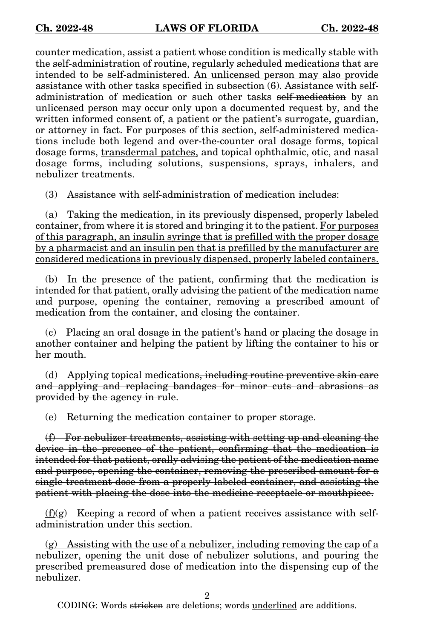counter medication, assist a patient whose condition is medically stable with the self-administration of routine, regularly scheduled medications that are intended to be self-administered. An unlicensed person may also provide assistance with other tasks specified in subsection (6). Assistance with selfadministration of medication or such other tasks self-medication by an unlicensed person may occur only upon a documented request by, and the written informed consent of, a patient or the patient's surrogate, guardian, or attorney in fact. For purposes of this section, self-administered medications include both legend and over-the-counter oral dosage forms, topical dosage forms, transdermal patches, and topical ophthalmic, otic, and nasal dosage forms, including solutions, suspensions, sprays, inhalers, and nebulizer treatments.

(3) Assistance with self-administration of medication includes:

(a) Taking the medication, in its previously dispensed, properly labeled container, from where it is stored and bringing it to the patient. For purposes of this paragraph, an insulin syringe that is prefilled with the proper dosage by a pharmacist and an insulin pen that is prefilled by the manufacturer are considered medications in previously dispensed, properly labeled containers.

(b) In the presence of the patient, confirming that the medication is intended for that patient, orally advising the patient of the medication name and purpose, opening the container, removing a prescribed amount of medication from the container, and closing the container.

(c) Placing an oral dosage in the patient's hand or placing the dosage in another container and helping the patient by lifting the container to his or her mouth.

(d) Applying topical medications, including routine preventive skin care and applying and replacing bandages for minor cuts and abrasions as provided by the agency in rule.

(e) Returning the medication container to proper storage.

(f) For nebulizer treatments, assisting with setting up and cleaning the device in the presence of the patient, confirming that the medication is intended for that patient, orally advising the patient of the medication name and purpose, opening the container, removing the prescribed amount for a single treatment dose from a properly labeled container, and assisting the patient with placing the dose into the medicine receptacle or mouthpiece.

 $(f)(g)$  Keeping a record of when a patient receives assistance with selfadministration under this section.

 $(g)$  Assisting with the use of a nebulizer, including removing the cap of a nebulizer, opening the unit dose of nebulizer solutions, and pouring the prescribed premeasured dose of medication into the dispensing cup of the nebulizer.

2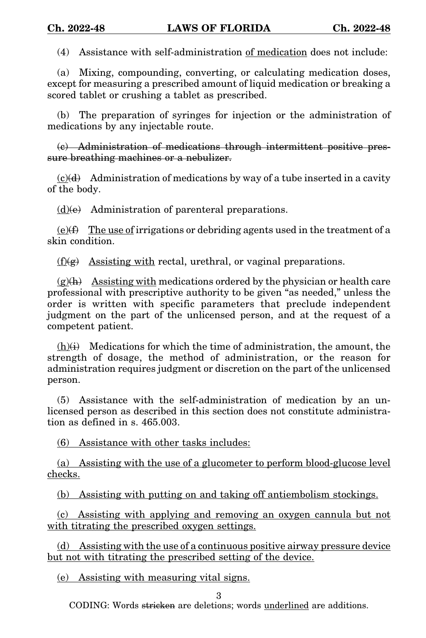(4) Assistance with self-administration of medication does not include:

(a) Mixing, compounding, converting, or calculating medication doses, except for measuring a prescribed amount of liquid medication or breaking a scored tablet or crushing a tablet as prescribed.

(b) The preparation of syringes for injection or the administration of medications by any injectable route.

(c) Administration of medications through intermittent positive pressure breathing machines or a nebulizer.

 $(c)(d)$  Administration of medications by way of a tube inserted in a cavity of the body.

 $(d)(e)$  Administration of parenteral preparations.

 $(e)(f)$  The use of irrigations or debriding agents used in the treatment of a skin condition.

 $(f)(g)$  Assisting with rectal, urethral, or vaginal preparations.

 $(g)(h)$  Assisting with medications ordered by the physician or health care professional with prescriptive authority to be given "as needed," unless the order is written with specific parameters that preclude independent judgment on the part of the unlicensed person, and at the request of a competent patient.

 $(h)(i)$  Medications for which the time of administration, the amount, the strength of dosage, the method of administration, or the reason for administration requires judgment or discretion on the part of the unlicensed person.

(5) Assistance with the self-administration of medication by an unlicensed person as described in this section does not constitute administration as defined in s. 465.003.

(6) Assistance with other tasks includes:

(a) Assisting with the use of a glucometer to perform blood-glucose level checks.

(b) Assisting with putting on and taking off antiembolism stockings.

(c) Assisting with applying and removing an oxygen cannula but not with titrating the prescribed oxygen settings.

(d) Assisting with the use of a continuous positive airway pressure device but not with titrating the prescribed setting of the device.

(e) Assisting with measuring vital signs.

3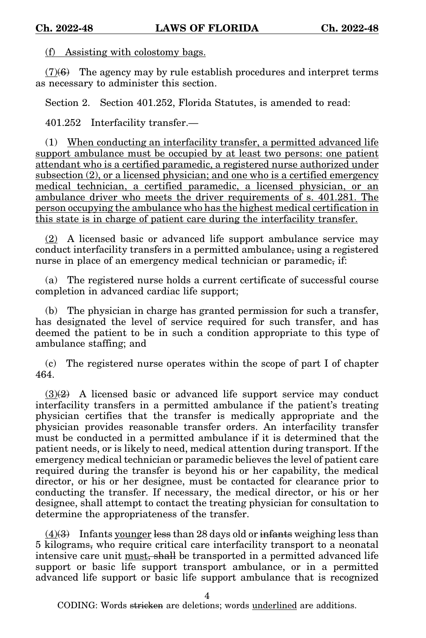(f) Assisting with colostomy bags.

 $(7)(6)$  The agency may by rule establish procedures and interpret terms as necessary to administer this section.

Section 2. Section 401.252, Florida Statutes, is amended to read:

401.252 Interfacility transfer.—

(1) When conducting an interfacility transfer, a permitted advanced life support ambulance must be occupied by at least two persons: one patient attendant who is a certified paramedic, a registered nurse authorized under subsection (2), or a licensed physician; and one who is a certified emergency medical technician, a certified paramedic, a licensed physician, or an ambulance driver who meets the driver requirements of s. 401.281. The person occupying the ambulance who has the highest medical certification in this state is in charge of patient care during the interfacility transfer.

(2) A licensed basic or advanced life support ambulance service may conduct interfacility transfers in a permitted ambulance, using a registered nurse in place of an emergency medical technician or paramedic, if:

(a) The registered nurse holds a current certificate of successful course completion in advanced cardiac life support;

(b) The physician in charge has granted permission for such a transfer, has designated the level of service required for such transfer, and has deemed the patient to be in such a condition appropriate to this type of ambulance staffing; and

(c) The registered nurse operates within the scope of part I of chapter 464.

 $(3)(2)$  A licensed basic or advanced life support service may conduct interfacility transfers in a permitted ambulance if the patient's treating physician certifies that the transfer is medically appropriate and the physician provides reasonable transfer orders. An interfacility transfer must be conducted in a permitted ambulance if it is determined that the patient needs, or is likely to need, medical attention during transport. If the emergency medical technician or paramedic believes the level of patient care required during the transfer is beyond his or her capability, the medical director, or his or her designee, must be contacted for clearance prior to conducting the transfer. If necessary, the medical director, or his or her designee, shall attempt to contact the treating physician for consultation to determine the appropriateness of the transfer.

 $(4)$ (3) Infants younger less than 28 days old or infants weighing less than 5 kilograms, who require critical care interfacility transport to a neonatal intensive care unit must, shall be transported in a permitted advanced life support or basic life support transport ambulance, or in a permitted advanced life support or basic life support ambulance that is recognized

4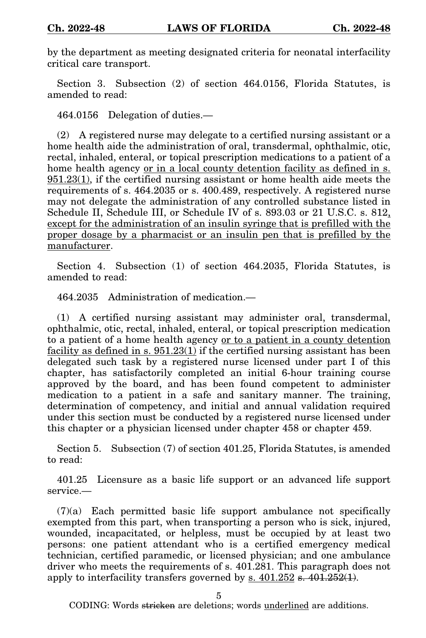by the department as meeting designated criteria for neonatal interfacility critical care transport.

Section 3. Subsection (2) of section 464.0156, Florida Statutes, is amended to read:

464.0156 Delegation of duties.—

(2) A registered nurse may delegate to a certified nursing assistant or a home health aide the administration of oral, transdermal, ophthalmic, otic, rectal, inhaled, enteral, or topical prescription medications to a patient of a home health agency or in a local county detention facility as defined in s. 951.23(1), if the certified nursing assistant or home health aide meets the requirements of s. 464.2035 or s. 400.489, respectively. A registered nurse may not delegate the administration of any controlled substance listed in Schedule II, Schedule III, or Schedule IV of s. 893.03 or 21 U.S.C. s. 812, except for the administration of an insulin syringe that is prefilled with the proper dosage by a pharmacist or an insulin pen that is prefilled by the manufacturer.

Section 4. Subsection (1) of section 464.2035, Florida Statutes, is amended to read:

464.2035 Administration of medication.—

(1) A certified nursing assistant may administer oral, transdermal, ophthalmic, otic, rectal, inhaled, enteral, or topical prescription medication to a patient of a home health agency or to a patient in a county detention facility as defined in s.  $951.23(1)$  if the certified nursing assistant has been delegated such task by a registered nurse licensed under part I of this chapter, has satisfactorily completed an initial 6-hour training course approved by the board, and has been found competent to administer medication to a patient in a safe and sanitary manner. The training, determination of competency, and initial and annual validation required under this section must be conducted by a registered nurse licensed under this chapter or a physician licensed under chapter 458 or chapter 459.

Section 5. Subsection (7) of section 401.25, Florida Statutes, is amended to read:

401.25 Licensure as a basic life support or an advanced life support service.—

(7)(a) Each permitted basic life support ambulance not specifically exempted from this part, when transporting a person who is sick, injured, wounded, incapacitated, or helpless, must be occupied by at least two persons: one patient attendant who is a certified emergency medical technician, certified paramedic, or licensed physician; and one ambulance driver who meets the requirements of s. 401.281. This paragraph does not apply to interfacility transfers governed by  $s$ .  $401.252 s$ .  $401.252(1)$ .

5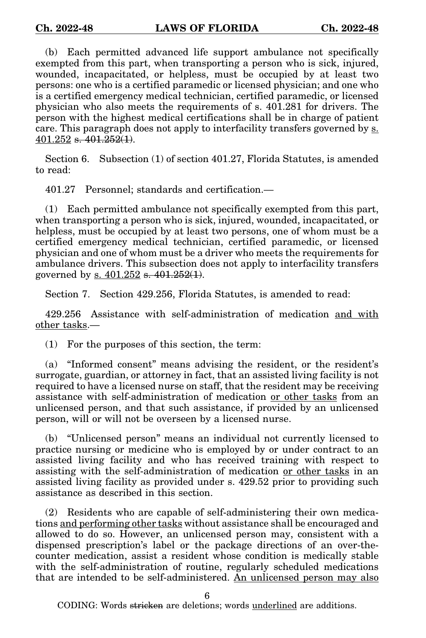(b) Each permitted advanced life support ambulance not specifically exempted from this part, when transporting a person who is sick, injured, wounded, incapacitated, or helpless, must be occupied by at least two persons: one who is a certified paramedic or licensed physician; and one who is a certified emergency medical technician, certified paramedic, or licensed physician who also meets the requirements of s. 401.281 for drivers. The person with the highest medical certifications shall be in charge of patient care. This paragraph does not apply to interfacility transfers governed by  $s$ .  $401.252$  s.  $401.252(1)$ .

Section 6. Subsection (1) of section 401.27, Florida Statutes, is amended to read:

401.27 Personnel; standards and certification.—

(1) Each permitted ambulance not specifically exempted from this part, when transporting a person who is sick, injured, wounded, incapacitated, or helpless, must be occupied by at least two persons, one of whom must be a certified emergency medical technician, certified paramedic, or licensed physician and one of whom must be a driver who meets the requirements for ambulance drivers. This subsection does not apply to interfacility transfers governed by s. 401.252 s. 401.252(1).

Section 7. Section 429.256, Florida Statutes, is amended to read:

429.256 Assistance with self-administration of medication and with other tasks.—

(1) For the purposes of this section, the term:

(a) "Informed consent" means advising the resident, or the resident's surrogate, guardian, or attorney in fact, that an assisted living facility is not required to have a licensed nurse on staff, that the resident may be receiving assistance with self-administration of medication or other tasks from an unlicensed person, and that such assistance, if provided by an unlicensed person, will or will not be overseen by a licensed nurse.

(b) "Unlicensed person" means an individual not currently licensed to practice nursing or medicine who is employed by or under contract to an assisted living facility and who has received training with respect to assisting with the self-administration of medication or other tasks in an assisted living facility as provided under s. 429.52 prior to providing such assistance as described in this section.

(2) Residents who are capable of self-administering their own medications and performing other tasks without assistance shall be encouraged and allowed to do so. However, an unlicensed person may, consistent with a dispensed prescription's label or the package directions of an over-thecounter medication, assist a resident whose condition is medically stable with the self-administration of routine, regularly scheduled medications that are intended to be self-administered. An unlicensed person may also

6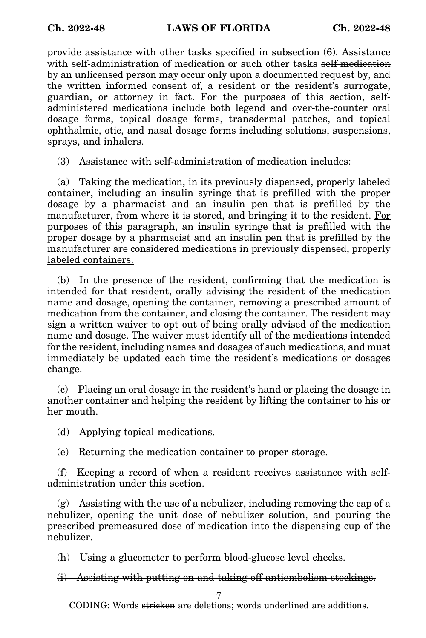provide assistance with other tasks specified in subsection (6). Assistance with self-administration of medication or such other tasks self-medication by an unlicensed person may occur only upon a documented request by, and the written informed consent of, a resident or the resident's surrogate, guardian, or attorney in fact. For the purposes of this section, selfadministered medications include both legend and over-the-counter oral dosage forms, topical dosage forms, transdermal patches, and topical ophthalmic, otic, and nasal dosage forms including solutions, suspensions, sprays, and inhalers.

(3) Assistance with self-administration of medication includes:

(a) Taking the medication, in its previously dispensed, properly labeled container, including an insulin syringe that is prefilled with the proper dosage by a pharmacist and an insulin pen that is prefilled by the manufacturer, from where it is stored, and bringing it to the resident. For purposes of this paragraph, an insulin syringe that is prefilled with the proper dosage by a pharmacist and an insulin pen that is prefilled by the manufacturer are considered medications in previously dispensed, properly labeled containers.

(b) In the presence of the resident, confirming that the medication is intended for that resident, orally advising the resident of the medication name and dosage, opening the container, removing a prescribed amount of medication from the container, and closing the container. The resident may sign a written waiver to opt out of being orally advised of the medication name and dosage. The waiver must identify all of the medications intended for the resident, including names and dosages of such medications, and must immediately be updated each time the resident's medications or dosages change.

(c) Placing an oral dosage in the resident's hand or placing the dosage in another container and helping the resident by lifting the container to his or her mouth.

(d) Applying topical medications.

(e) Returning the medication container to proper storage.

(f) Keeping a record of when a resident receives assistance with selfadministration under this section.

(g) Assisting with the use of a nebulizer, including removing the cap of a nebulizer, opening the unit dose of nebulizer solution, and pouring the prescribed premeasured dose of medication into the dispensing cup of the nebulizer.

(h) Using a glucometer to perform blood-glucose level checks.

(i) Assisting with putting on and taking off antiembolism stockings.

7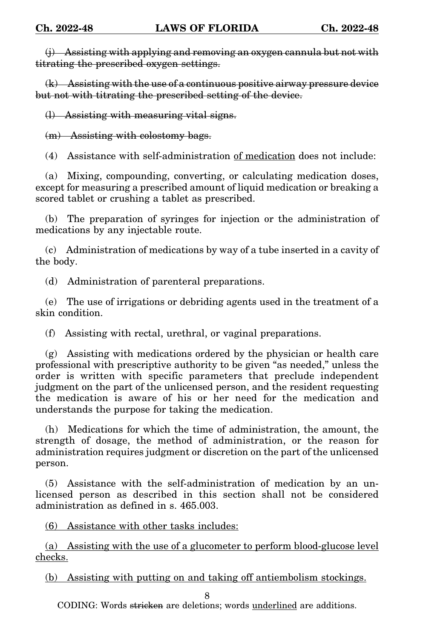(j) Assisting with applying and removing an oxygen cannula but not with titrating the prescribed oxygen settings.

(k) Assisting with the use of a continuous positive airway pressure device but not with titrating the prescribed setting of the device.

(l) Assisting with measuring vital signs.

(m) Assisting with colostomy bags.

(4) Assistance with self-administration of medication does not include:

(a) Mixing, compounding, converting, or calculating medication doses, except for measuring a prescribed amount of liquid medication or breaking a scored tablet or crushing a tablet as prescribed.

(b) The preparation of syringes for injection or the administration of medications by any injectable route.

(c) Administration of medications by way of a tube inserted in a cavity of the body.

(d) Administration of parenteral preparations.

(e) The use of irrigations or debriding agents used in the treatment of a skin condition.

(f) Assisting with rectal, urethral, or vaginal preparations.

(g) Assisting with medications ordered by the physician or health care professional with prescriptive authority to be given "as needed," unless the order is written with specific parameters that preclude independent judgment on the part of the unlicensed person, and the resident requesting the medication is aware of his or her need for the medication and understands the purpose for taking the medication.

(h) Medications for which the time of administration, the amount, the strength of dosage, the method of administration, or the reason for administration requires judgment or discretion on the part of the unlicensed person.

(5) Assistance with the self-administration of medication by an unlicensed person as described in this section shall not be considered administration as defined in s. 465.003.

(6) Assistance with other tasks includes:

(a) Assisting with the use of a glucometer to perform blood-glucose level checks.

(b) Assisting with putting on and taking off antiembolism stockings.

8